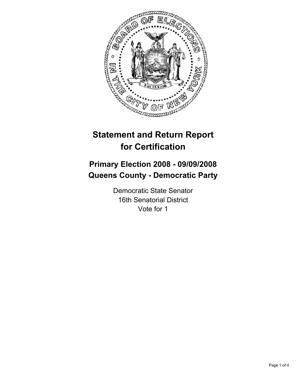

# **Statement and Return Report for Certification**

# **Primary Election 2008 - 09/09/2008 Queens County - Democratic Party**

Democratic State Senator 16th Senatorial District Vote for 1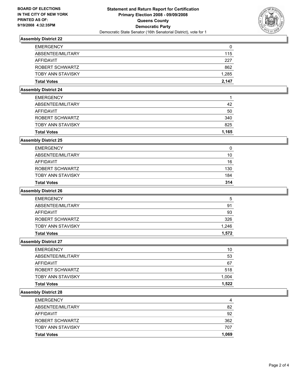

# **Assembly District 22**

| <b>EMERGENCY</b>   | 0     |
|--------------------|-------|
| ABSENTEE/MILITARY  | 115   |
| AFFIDAVIT          | 227   |
| ROBERT SCHWARTZ    | 862   |
| TOBY ANN STAVISKY  | 1,285 |
| <b>Total Votes</b> | 2,147 |

## **Assembly District 24**

| <b>Total Votes</b>       | 1,165 |
|--------------------------|-------|
| <b>TOBY ANN STAVISKY</b> | 825   |
| ROBERT SCHWARTZ          | 340   |
| <b>AFFIDAVIT</b>         | 50    |
| ABSENTEE/MILITARY        | 42    |
| <b>EMERGENCY</b>         |       |

## **Assembly District 25**

| <b>Total Votes</b>       | 314 |
|--------------------------|-----|
| <b>TOBY ANN STAVISKY</b> | 184 |
| ROBERT SCHWARTZ          | 130 |
| AFFIDAVIT                | 16  |
| ABSENTEE/MILITARY        | 10  |
| <b>EMERGENCY</b>         |     |

#### **Assembly District 26**

| <b>Total Votes</b>       | 1.572 |
|--------------------------|-------|
| <b>TOBY ANN STAVISKY</b> | 1.246 |
| ROBERT SCHWARTZ          | 326   |
| AFFIDAVIT                | 93    |
| ABSENTEE/MILITARY        | 91    |
| <b>EMERGENCY</b>         | 5     |

#### **Assembly District 27**

| <b>Total Votes</b>       | 1,522 |
|--------------------------|-------|
| <b>TOBY ANN STAVISKY</b> | 1,004 |
| ROBERT SCHWARTZ          | 518   |
| AFFIDAVIT                | 67    |
| ABSENTEE/MILITARY        | 53    |
| <b>EMERGENCY</b>         | 10    |

#### **Assembly District 28**

| <b>EMERGENCY</b>         | 4     |
|--------------------------|-------|
| ABSENTEE/MILITARY        | 82    |
| AFFIDAVIT                | 92    |
| ROBERT SCHWARTZ          | 362   |
| <b>TOBY ANN STAVISKY</b> | 707   |
| <b>Total Votes</b>       | 1,069 |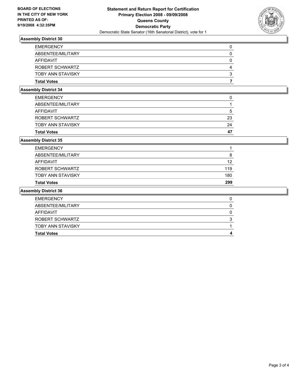

# **Assembly District 30**

#### **Assembly District 34**

| <b>Total Votes</b> | 47 |
|--------------------|----|
| TOBY ANN STAVISKY  | 24 |
| ROBERT SCHWARTZ    | 23 |
| AFFIDAVIT          | :C |
| ABSENTEE/MILITARY  |    |
| <b>EMERGENCY</b>   |    |

## **Assembly District 35**

| <b>Total Votes</b>       | 299 |
|--------------------------|-----|
| <b>TOBY ANN STAVISKY</b> | 180 |
| ROBERT SCHWARTZ          | 119 |
| AFFIDAVIT                | 12  |
| ABSENTEE/MILITARY        |     |
| <b>EMERGENCY</b>         |     |

#### **Assembly District 36**

| <b>EMERGENCY</b>         |  |
|--------------------------|--|
| ABSENTEE/MILITARY        |  |
| AFFIDAVIT                |  |
| ROBERT SCHWARTZ          |  |
| <b>TOBY ANN STAVISKY</b> |  |
| <b>Total Votes</b>       |  |